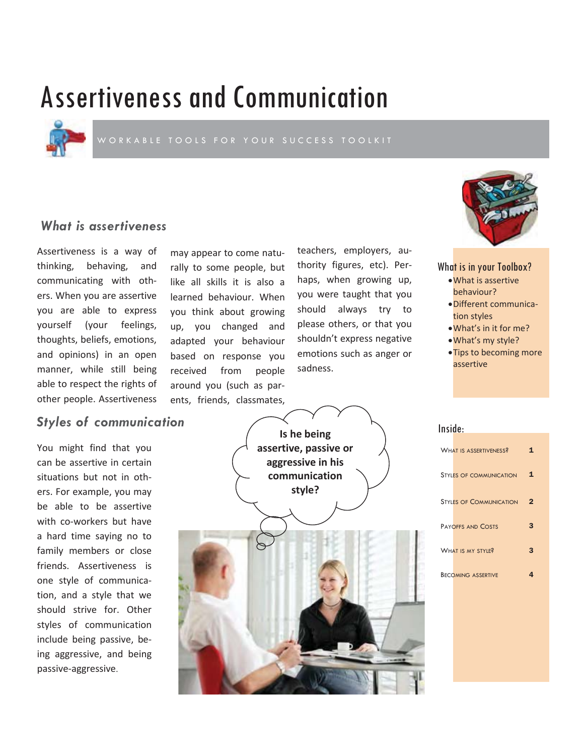# Assertiveness and Communication



## *What is assertiveness*

Assertiveness is a way of thinking, behaving, and communicating with others. When you are assertive you are able to express yourself (your feelings, thoughts, beliefs, emotions, and opinions) in an open manner, while still being able to respect the rights of other people. Assertiveness

## *Styles of communication*

You might find that you can be assertive in certain situations but not in others. For example, you may be able to be assertive with co-workers but have a hard time saying no to family members or close friends. Assertiveness is one style of communication, and a style that we should strive for. Other styles of communication include being passive, being aggressive, and being passive-aggressive.

may appear to come naturally to some people, but like all skills it is also a learned behaviour. When you think about growing up, you changed and adapted your behaviour based on response you received from people around you (such as parents, friends, classmates,

teachers, employers, authority figures, etc). Perhaps, when growing up, you were taught that you should always try to please others, or that you shouldn't express negative emotions such as anger or sadness.



What is in your Toolbox?

- What is assertive behaviour?
- · Different communication styles
- What's in it for me?
- What's my style?
- Tips to becoming more assertive



| Inside |  |  |  |
|--------|--|--|--|
|        |  |  |  |
|        |  |  |  |

| <b>WHAT IS ASSERTIVENESS?</b>  | 1            |
|--------------------------------|--------------|
| <b>STYLES OF COMMUNICATION</b> | $\mathbf{1}$ |
| <b>STYLES OF COMMUNICATION</b> | $\mathbf{2}$ |
| <b>PAYOFFS AND COSTS</b>       | 3            |
| WHAT IS MY STYLE?              | 3            |
| <b>BECOMING ASSERTIVE</b>      | 4            |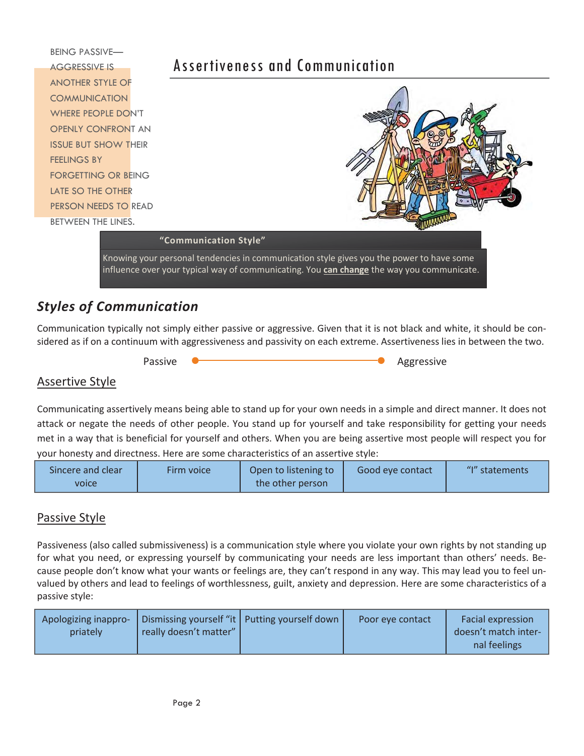

# *Styles of Communication*

Communication typically not simply either passive or aggressive. Given that it is not black and white, it should be considered as if on a continuum with aggressiveness and passivity on each extreme. Assertiveness lies in between the two.

Passive **Commission Contract Contract Contract Contract Contract Contract Contract Contract Contract Contract Contract Contract Contract Contract Contract Contract Contract Contract Contract Contract Contract Contract Cont** 

## Assertive Style

Communicating assertively means being able to stand up for your own needs in a simple and direct manner. It does not attack or negate the needs of other people. You stand up for yourself and take responsibility for getting your needs met in a way that is beneficial for yourself and others. When you are being assertive most people will respect you for your honesty and directness. Here are some characteristics of an assertive style:

| Sincere and clear | Firm voice | Open to listening to | Good eye contact | "I" statements |
|-------------------|------------|----------------------|------------------|----------------|
| <b>VOICE</b>      |            | the other person     |                  |                |

## **Passive Style**

Passiveness (also called submissiveness) is a communication style where you violate your own rights by not standing up for what you need, or expressing yourself by communicating your needs are less important than others' needs. Because people don't know what your wants or feelings are, they can't respond in any way. This may lead you to feel unvalued by others and lead to feelings of worthlessness, guilt, anxiety and depression. Here are some characteristics of a passive style:

| Apologizing inappro-<br>really doesn't matter"<br>priately | Dismissing yourself "it   Putting yourself down | Poor eve contact | Facial expression<br>doesn't match inter-<br>nal feelings |
|------------------------------------------------------------|-------------------------------------------------|------------------|-----------------------------------------------------------|
|------------------------------------------------------------|-------------------------------------------------|------------------|-----------------------------------------------------------|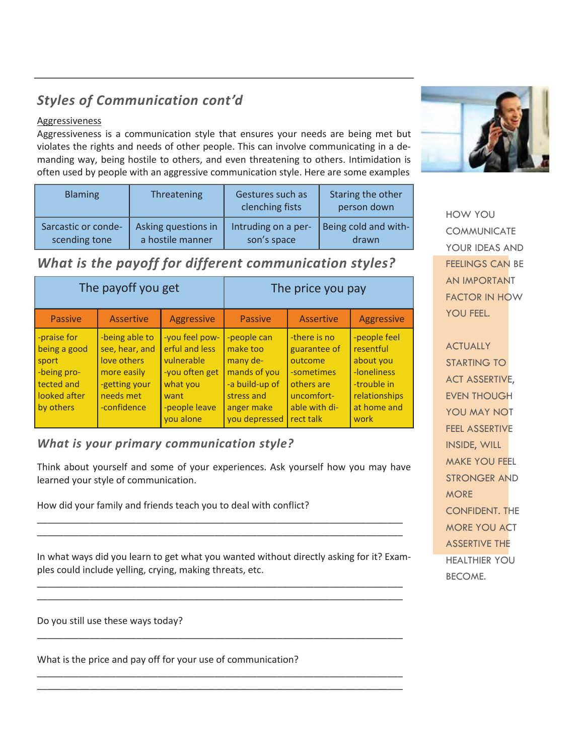# *Styles of Communication cont'd*

### **Aggressiveness**

Aggressiveness is a communication style that ensures your needs are being met but violates the rights and needs of other people. This can involve communicating in a demanding way, being hostile to others, and even threatening to others. Intimidation is often used by people with an aggressive communication style. Here are some examples

| <b>Blaming</b>      | Threatening         | Gestures such as<br>clenching fists | Staring the other<br>person down |
|---------------------|---------------------|-------------------------------------|----------------------------------|
| Sarcastic or conde- | Asking questions in | Intruding on a per-                 | Being cold and with-             |
| scending tone       | a hostile manner    | son's space                         | drawn                            |

# *What is the payoff for different communication styles?*

| The payoff you get                                                                             |                                                                                                             |                                                                                                                    | The price you pay                                                                                                  |                                                                                                                 |                                                                                                              |
|------------------------------------------------------------------------------------------------|-------------------------------------------------------------------------------------------------------------|--------------------------------------------------------------------------------------------------------------------|--------------------------------------------------------------------------------------------------------------------|-----------------------------------------------------------------------------------------------------------------|--------------------------------------------------------------------------------------------------------------|
| <b>Passive</b>                                                                                 | <b>Assertive</b>                                                                                            | <b>Aggressive</b>                                                                                                  | <b>Passive</b>                                                                                                     | <b>Assertive</b>                                                                                                | <b>Aggressive</b>                                                                                            |
| -praise for<br>being a good<br>sport<br>-being pro-<br>tected and<br>looked after<br>by others | -being able to<br>see, hear, and<br>love others<br>more easily<br>-getting your<br>needs met<br>-confidence | -you feel pow-<br>erful and less<br>vulnerable<br>-you often get<br>what you<br>want<br>-people leave<br>vou alone | -people can<br>make too<br>many de-<br>mands of you<br>-a build-up of<br>stress and<br>anger make<br>you depressed | -there is no<br>guarantee of<br>outcome<br>-sometimes<br>others are<br>uncomfort-<br>able with di-<br>rect talk | -people feel<br>resentful<br>about you<br>-loneliness<br>-trouble in<br>relationships<br>at home and<br>work |

## *What is your primary communication style?*

Think about yourself and some of your experiences. Ask yourself how you may have learned your style of communication.

How did your family and friends teach you to deal with conflict?

In what ways did you learn to get what you wanted without directly asking for it? Examples could include yelling, crying, making threats, etc.

\_\_\_\_\_\_\_\_\_\_\_\_\_\_\_\_\_\_\_\_\_\_\_\_\_\_\_\_\_\_\_\_\_\_\_\_\_\_\_\_\_\_\_\_\_\_\_\_\_\_\_\_\_\_\_\_\_\_\_\_\_\_\_\_\_\_\_\_\_\_ \_\_\_\_\_\_\_\_\_\_\_\_\_\_\_\_\_\_\_\_\_\_\_\_\_\_\_\_\_\_\_\_\_\_\_\_\_\_\_\_\_\_\_\_\_\_\_\_\_\_\_\_\_\_\_\_\_\_\_\_\_\_\_\_\_\_\_\_\_\_

\_\_\_\_\_\_\_\_\_\_\_\_\_\_\_\_\_\_\_\_\_\_\_\_\_\_\_\_\_\_\_\_\_\_\_\_\_\_\_\_\_\_\_\_\_\_\_\_\_\_\_\_\_\_\_\_\_\_\_\_\_\_\_\_\_\_\_\_\_\_

\_\_\_\_\_\_\_\_\_\_\_\_\_\_\_\_\_\_\_\_\_\_\_\_\_\_\_\_\_\_\_\_\_\_\_\_\_\_\_\_\_\_\_\_\_\_\_\_\_\_\_\_\_\_\_\_\_\_\_\_\_\_\_\_\_\_\_\_\_\_ \_\_\_\_\_\_\_\_\_\_\_\_\_\_\_\_\_\_\_\_\_\_\_\_\_\_\_\_\_\_\_\_\_\_\_\_\_\_\_\_\_\_\_\_\_\_\_\_\_\_\_\_\_\_\_\_\_\_\_\_\_\_\_\_\_\_\_\_\_\_

\_\_\_\_\_\_\_\_\_\_\_\_\_\_\_\_\_\_\_\_\_\_\_\_\_\_\_\_\_\_\_\_\_\_\_\_\_\_\_\_\_\_\_\_\_\_\_\_\_\_\_\_\_\_\_\_\_\_\_\_\_\_\_\_\_\_\_\_\_\_ \_\_\_\_\_\_\_\_\_\_\_\_\_\_\_\_\_\_\_\_\_\_\_\_\_\_\_\_\_\_\_\_\_\_\_\_\_\_\_\_\_\_\_\_\_\_\_\_\_\_\_\_\_\_\_\_\_\_\_\_\_\_\_\_\_\_\_\_\_\_

Do you still use these ways today?

What is the price and pay off for your use of communication?



HOW YOU COMMUNICATE YOUR IDEAS AND FEELINGS CAN BE AN IMPORTANT FACTOR IN HOW YOU FEEL.

**ACTUALLY** STARTING TO ACT ASSERTIVE, EVEN THOUGH YOU MAY NOT FEEL ASSERTIVE INSIDE, WILL MAKE YOU FEEL STRONGER AND **MORE** CONFIDENT. THE MORE YOU ACT ASSERTIVE THE HEALTHIER YOU BECOME.